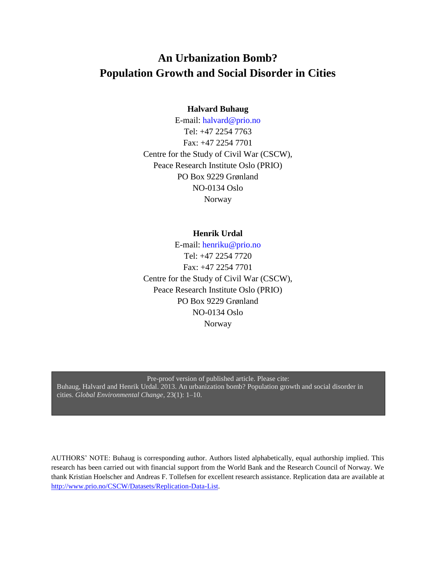# **An Urbanization Bomb? Population Growth and Social Disorder in Cities**

## **Halvard Buhaug**

E-mail: halvard@prio.no Tel: +47 2254 7763 Fax: +47 2254 7701 Centre for the Study of Civil War (CSCW), Peace Research Institute Oslo (PRIO) PO Box 9229 Grønland NO-0134 Oslo Norway

## **Henrik Urdal**

E-mail: henriku@prio.no Tel: +47 2254 7720 Fax: +47 2254 7701 Centre for the Study of Civil War (CSCW), Peace Research Institute Oslo (PRIO) PO Box 9229 Grønland NO-0134 Oslo Norway

Pre-proof version of published article. Please cite: Buhaug, Halvard and Henrik Urdal. 2013. An urbanization bomb? Population growth and social disorder in cities. *Global Environmental Change*, 23(1): 1–10.

AUTHORS' NOTE: Buhaug is corresponding author. Authors listed alphabetically, equal authorship implied. This research has been carried out with financial support from the World Bank and the Research Council of Norway. We thank Kristian Hoelscher and Andreas F. Tollefsen for excellent research assistance. Replication data are available at [http://www.prio.no/CSCW/Datasets/Replication-Data-List.](http://www.prio.no/CSCW/Datasets/Replication-Data-List)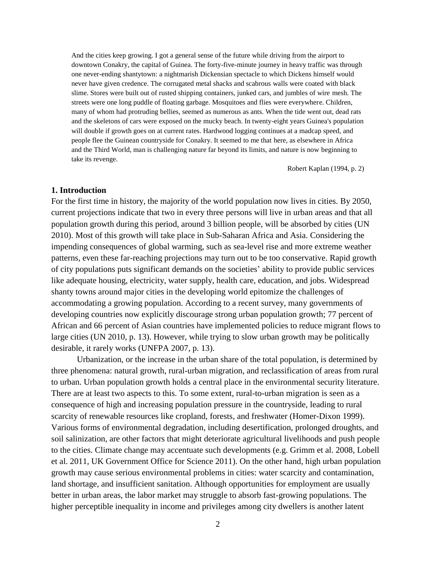And the cities keep growing. I got a general sense of the future while driving from the airport to downtown Conakry, the capital of Guinea. The forty-five-minute journey in heavy traffic was through one never-ending shantytown: a nightmarish Dickensian spectacle to which Dickens himself would never have given credence. The corrugated metal shacks and scabrous walls were coated with black slime. Stores were built out of rusted shipping containers, junked cars, and jumbles of wire mesh. The streets were one long puddle of floating garbage. Mosquitoes and flies were everywhere. Children, many of whom had protruding bellies, seemed as numerous as ants. When the tide went out, dead rats and the skeletons of cars were exposed on the mucky beach. In twenty-eight years Guinea's population will double if growth goes on at current rates. Hardwood logging continues at a madcap speed, and people flee the Guinean countryside for Conakry. It seemed to me that here, as elsewhere in Africa and the Third World, man is challenging nature far beyond its limits, and nature is now beginning to take its revenge.

Robert Kaplan (1994, p. 2)

#### **1. Introduction**

For the first time in history, the majority of the world population now lives in cities. By 2050, current projections indicate that two in every three persons will live in urban areas and that all population growth during this period, around 3 billion people, will be absorbed by cities (UN 2010). Most of this growth will take place in Sub-Saharan Africa and Asia. Considering the impending consequences of global warming, such as sea-level rise and more extreme weather patterns, even these far-reaching projections may turn out to be too conservative. Rapid growth of city populations puts significant demands on the societies' ability to provide public services like adequate housing, electricity, water supply, health care, education, and jobs. Widespread shanty towns around major cities in the developing world epitomize the challenges of accommodating a growing population. According to a recent survey, many governments of developing countries now explicitly discourage strong urban population growth; 77 percent of African and 66 percent of Asian countries have implemented policies to reduce migrant flows to large cities (UN 2010, p. 13). However, while trying to slow urban growth may be politically desirable, it rarely works (UNFPA 2007, p. 13).

Urbanization, or the increase in the urban share of the total population, is determined by three phenomena: natural growth, rural-urban migration, and reclassification of areas from rural to urban. Urban population growth holds a central place in the environmental security literature. There are at least two aspects to this. To some extent, rural-to-urban migration is seen as a consequence of high and increasing population pressure in the countryside, leading to rural scarcity of renewable resources like cropland, forests, and freshwater (Homer-Dixon 1999). Various forms of environmental degradation, including desertification, prolonged droughts, and soil salinization, are other factors that might deteriorate agricultural livelihoods and push people to the cities. Climate change may accentuate such developments (e.g. Grimm et al. 2008, Lobell et al. 2011, UK Government Office for Science 2011). On the other hand, high urban population growth may cause serious environmental problems in cities: water scarcity and contamination, land shortage, and insufficient sanitation. Although opportunities for employment are usually better in urban areas, the labor market may struggle to absorb fast-growing populations. The higher perceptible inequality in income and privileges among city dwellers is another latent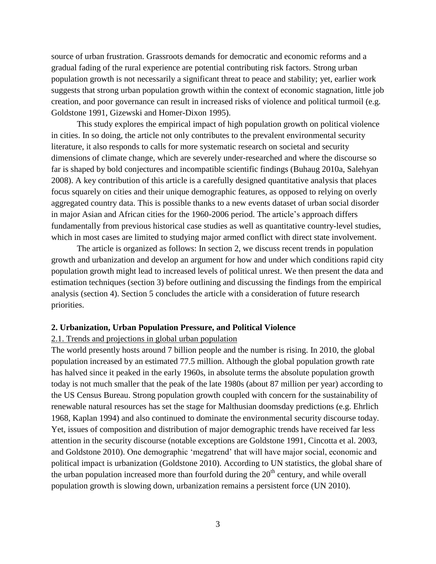source of urban frustration. Grassroots demands for democratic and economic reforms and a gradual fading of the rural experience are potential contributing risk factors. Strong urban population growth is not necessarily a significant threat to peace and stability; yet, earlier work suggests that strong urban population growth within the context of economic stagnation, little job creation, and poor governance can result in increased risks of violence and political turmoil (e.g. Goldstone 1991, Gizewski and Homer-Dixon 1995).

This study explores the empirical impact of high population growth on political violence in cities. In so doing, the article not only contributes to the prevalent environmental security literature, it also responds to calls for more systematic research on societal and security dimensions of climate change, which are severely under-researched and where the discourse so far is shaped by bold conjectures and incompatible scientific findings (Buhaug 2010a, Salehyan 2008). A key contribution of this article is a carefully designed quantitative analysis that places focus squarely on cities and their unique demographic features, as opposed to relying on overly aggregated country data. This is possible thanks to a new events dataset of urban social disorder in major Asian and African cities for the 1960-2006 period. The article's approach differs fundamentally from previous historical case studies as well as quantitative country-level studies, which in most cases are limited to studying major armed conflict with direct state involvement.

The article is organized as follows: In section 2, we discuss recent trends in population growth and urbanization and develop an argument for how and under which conditions rapid city population growth might lead to increased levels of political unrest. We then present the data and estimation techniques (section 3) before outlining and discussing the findings from the empirical analysis (section 4). Section 5 concludes the article with a consideration of future research priorities.

#### **2. Urbanization, Urban Population Pressure, and Political Violence**

### 2.1. Trends and projections in global urban population

The world presently hosts around 7 billion people and the number is rising. In 2010, the global population increased by an estimated 77.5 million. Although the global population growth rate has halved since it peaked in the early 1960s, in absolute terms the absolute population growth today is not much smaller that the peak of the late 1980s (about 87 million per year) according to the US Census Bureau. Strong population growth coupled with concern for the sustainability of renewable natural resources has set the stage for Malthusian doomsday predictions (e.g. Ehrlich 1968, Kaplan 1994) and also continued to dominate the environmental security discourse today. Yet, issues of composition and distribution of major demographic trends have received far less attention in the security discourse (notable exceptions are Goldstone 1991, Cincotta et al. 2003, and Goldstone 2010). One demographic 'megatrend' that will have major social, economic and political impact is urbanization (Goldstone 2010). According to UN statistics, the global share of the urban population increased more than fourfold during the  $20<sup>th</sup>$  century, and while overall population growth is slowing down, urbanization remains a persistent force (UN 2010).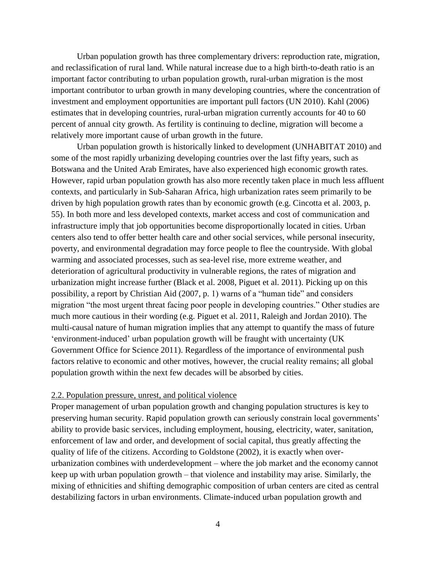Urban population growth has three complementary drivers: reproduction rate, migration, and reclassification of rural land. While natural increase due to a high birth-to-death ratio is an important factor contributing to urban population growth, rural-urban migration is the most important contributor to urban growth in many developing countries, where the concentration of investment and employment opportunities are important pull factors (UN 2010). Kahl (2006) estimates that in developing countries, rural-urban migration currently accounts for 40 to 60 percent of annual city growth. As fertility is continuing to decline, migration will become a relatively more important cause of urban growth in the future.

Urban population growth is historically linked to development (UNHABITAT 2010) and some of the most rapidly urbanizing developing countries over the last fifty years, such as Botswana and the United Arab Emirates, have also experienced high economic growth rates. However, rapid urban population growth has also more recently taken place in much less affluent contexts, and particularly in Sub-Saharan Africa, high urbanization rates seem primarily to be driven by high population growth rates than by economic growth (e.g. Cincotta et al. 2003, p. 55). In both more and less developed contexts, market access and cost of communication and infrastructure imply that job opportunities become disproportionally located in cities. Urban centers also tend to offer better health care and other social services, while personal insecurity, poverty, and environmental degradation may force people to flee the countryside. With global warming and associated processes, such as sea-level rise, more extreme weather, and deterioration of agricultural productivity in vulnerable regions, the rates of migration and urbanization might increase further (Black et al. 2008, Piguet et al. 2011). Picking up on this possibility, a report by Christian Aid (2007, p. 1) warns of a "human tide" and considers migration "the most urgent threat facing poor people in developing countries." Other studies are much more cautious in their wording (e.g. Piguet et al. 2011, Raleigh and Jordan 2010). The multi-causal nature of human migration implies that any attempt to quantify the mass of future 'environment-induced' urban population growth will be fraught with uncertainty (UK Government Office for Science 2011). Regardless of the importance of environmental push factors relative to economic and other motives, however, the crucial reality remains; all global population growth within the next few decades will be absorbed by cities.

#### 2.2. Population pressure, unrest, and political violence

Proper management of urban population growth and changing population structures is key to preserving human security. Rapid population growth can seriously constrain local governments' ability to provide basic services, including employment, housing, electricity, water, sanitation, enforcement of law and order, and development of social capital, thus greatly affecting the quality of life of the citizens. According to Goldstone (2002), it is exactly when overurbanization combines with underdevelopment – where the job market and the economy cannot keep up with urban population growth – that violence and instability may arise. Similarly, the mixing of ethnicities and shifting demographic composition of urban centers are cited as central destabilizing factors in urban environments. Climate-induced urban population growth and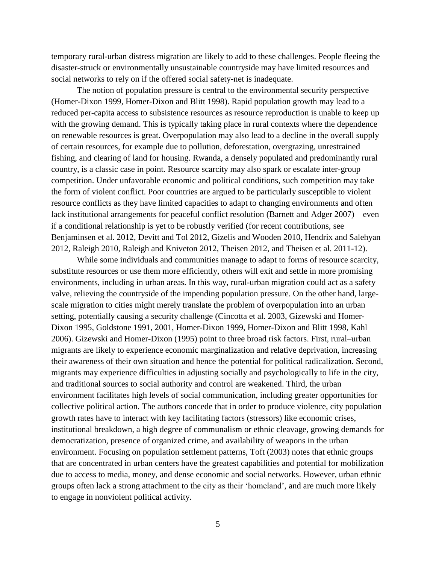temporary rural-urban distress migration are likely to add to these challenges. People fleeing the disaster-struck or environmentally unsustainable countryside may have limited resources and social networks to rely on if the offered social safety-net is inadequate.

The notion of population pressure is central to the environmental security perspective (Homer-Dixon 1999, Homer-Dixon and Blitt 1998). Rapid population growth may lead to a reduced per-capita access to subsistence resources as resource reproduction is unable to keep up with the growing demand. This is typically taking place in rural contexts where the dependence on renewable resources is great. Overpopulation may also lead to a decline in the overall supply of certain resources, for example due to pollution, deforestation, overgrazing, unrestrained fishing, and clearing of land for housing. Rwanda, a densely populated and predominantly rural country, is a classic case in point. Resource scarcity may also spark or escalate inter-group competition. Under unfavorable economic and political conditions, such competition may take the form of violent conflict. Poor countries are argued to be particularly susceptible to violent resource conflicts as they have limited capacities to adapt to changing environments and often lack institutional arrangements for peaceful conflict resolution (Barnett and Adger 2007) – even if a conditional relationship is yet to be robustly verified (for recent contributions, see Benjaminsen et al. 2012, Devitt and Tol 2012, Gizelis and Wooden 2010, Hendrix and Salehyan 2012, Raleigh 2010, Raleigh and Kniveton 2012, Theisen 2012, and Theisen et al. 2011-12).

While some individuals and communities manage to adapt to forms of resource scarcity, substitute resources or use them more efficiently, others will exit and settle in more promising environments, including in urban areas. In this way, rural-urban migration could act as a safety valve, relieving the countryside of the impending population pressure. On the other hand, largescale migration to cities might merely translate the problem of overpopulation into an urban setting, potentially causing a security challenge (Cincotta et al. 2003, Gizewski and Homer-Dixon 1995, Goldstone 1991, 2001, Homer-Dixon 1999, Homer-Dixon and Blitt 1998, Kahl 2006). Gizewski and Homer-Dixon (1995) point to three broad risk factors. First, rural–urban migrants are likely to experience economic marginalization and relative deprivation, increasing their awareness of their own situation and hence the potential for political radicalization. Second, migrants may experience difficulties in adjusting socially and psychologically to life in the city, and traditional sources to social authority and control are weakened. Third, the urban environment facilitates high levels of social communication, including greater opportunities for collective political action. The authors concede that in order to produce violence, city population growth rates have to interact with key facilitating factors (stressors) like economic crises, institutional breakdown, a high degree of communalism or ethnic cleavage, growing demands for democratization, presence of organized crime, and availability of weapons in the urban environment. Focusing on population settlement patterns, Toft (2003) notes that ethnic groups that are concentrated in urban centers have the greatest capabilities and potential for mobilization due to access to media, money, and dense economic and social networks. However, urban ethnic groups often lack a strong attachment to the city as their 'homeland', and are much more likely to engage in nonviolent political activity.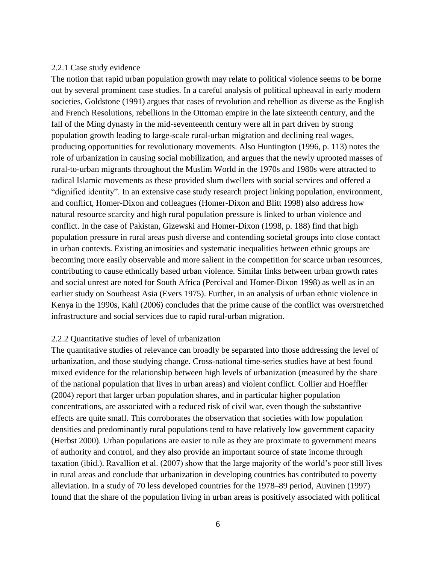#### 2.2.1 Case study evidence

The notion that rapid urban population growth may relate to political violence seems to be borne out by several prominent case studies. In a careful analysis of political upheaval in early modern societies, Goldstone (1991) argues that cases of revolution and rebellion as diverse as the English and French Resolutions, rebellions in the Ottoman empire in the late sixteenth century, and the fall of the Ming dynasty in the mid-seventeenth century were all in part driven by strong population growth leading to large-scale rural-urban migration and declining real wages, producing opportunities for revolutionary movements. Also Huntington (1996, p. 113) notes the role of urbanization in causing social mobilization, and argues that the newly uprooted masses of rural-to-urban migrants throughout the Muslim World in the 1970s and 1980s were attracted to radical Islamic movements as these provided slum dwellers with social services and offered a "dignified identity". In an extensive case study research project linking population, environment, and conflict, Homer-Dixon and colleagues (Homer-Dixon and Blitt 1998) also address how natural resource scarcity and high rural population pressure is linked to urban violence and conflict. In the case of Pakistan, Gizewski and Homer-Dixon (1998, p. 188) find that high population pressure in rural areas push diverse and contending societal groups into close contact in urban contexts. Existing animosities and systematic inequalities between ethnic groups are becoming more easily observable and more salient in the competition for scarce urban resources, contributing to cause ethnically based urban violence. Similar links between urban growth rates and social unrest are noted for South Africa (Percival and Homer-Dixon 1998) as well as in an earlier study on Southeast Asia (Evers 1975). Further, in an analysis of urban ethnic violence in Kenya in the 1990s, Kahl (2006) concludes that the prime cause of the conflict was overstretched infrastructure and social services due to rapid rural-urban migration.

#### 2.2.2 Quantitative studies of level of urbanization

The quantitative studies of relevance can broadly be separated into those addressing the level of urbanization, and those studying change. Cross-national time-series studies have at best found mixed evidence for the relationship between high levels of urbanization (measured by the share of the national population that lives in urban areas) and violent conflict. Collier and Hoeffler (2004) report that larger urban population shares, and in particular higher population concentrations, are associated with a reduced risk of civil war, even though the substantive effects are quite small. This corroborates the observation that societies with low population densities and predominantly rural populations tend to have relatively low government capacity (Herbst 2000). Urban populations are easier to rule as they are proximate to government means of authority and control, and they also provide an important source of state income through taxation (ibid.). Ravallion et al. (2007) show that the large majority of the world's poor still lives in rural areas and conclude that urbanization in developing countries has contributed to poverty alleviation. In a study of 70 less developed countries for the 1978–89 period, Auvinen (1997) found that the share of the population living in urban areas is positively associated with political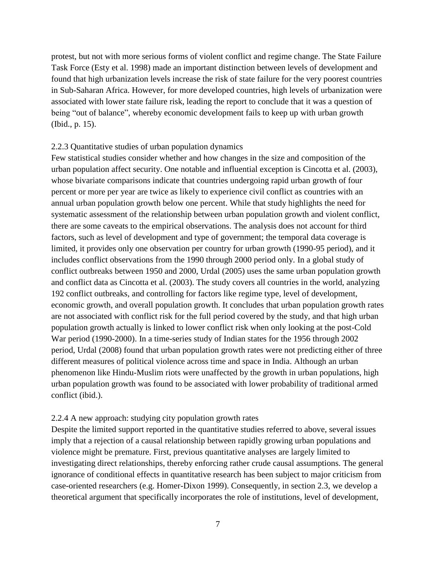protest, but not with more serious forms of violent conflict and regime change. The State Failure Task Force (Esty et al. 1998) made an important distinction between levels of development and found that high urbanization levels increase the risk of state failure for the very poorest countries in Sub-Saharan Africa. However, for more developed countries, high levels of urbanization were associated with lower state failure risk, leading the report to conclude that it was a question of being "out of balance", whereby economic development fails to keep up with urban growth (Ibid., p. 15).

#### 2.2.3 Quantitative studies of urban population dynamics

Few statistical studies consider whether and how changes in the size and composition of the urban population affect security. One notable and influential exception is Cincotta et al. (2003), whose bivariate comparisons indicate that countries undergoing rapid urban growth of four percent or more per year are twice as likely to experience civil conflict as countries with an annual urban population growth below one percent. While that study highlights the need for systematic assessment of the relationship between urban population growth and violent conflict, there are some caveats to the empirical observations. The analysis does not account for third factors, such as level of development and type of government; the temporal data coverage is limited, it provides only one observation per country for urban growth (1990-95 period), and it includes conflict observations from the 1990 through 2000 period only. In a global study of conflict outbreaks between 1950 and 2000, Urdal (2005) uses the same urban population growth and conflict data as Cincotta et al. (2003). The study covers all countries in the world, analyzing 192 conflict outbreaks, and controlling for factors like regime type, level of development, economic growth, and overall population growth. It concludes that urban population growth rates are not associated with conflict risk for the full period covered by the study, and that high urban population growth actually is linked to lower conflict risk when only looking at the post-Cold War period (1990-2000). In a time-series study of Indian states for the 1956 through 2002 period, Urdal (2008) found that urban population growth rates were not predicting either of three different measures of political violence across time and space in India. Although an urban phenomenon like Hindu-Muslim riots were unaffected by the growth in urban populations, high urban population growth was found to be associated with lower probability of traditional armed conflict (ibid.).

#### 2.2.4 A new approach: studying city population growth rates

Despite the limited support reported in the quantitative studies referred to above, several issues imply that a rejection of a causal relationship between rapidly growing urban populations and violence might be premature. First, previous quantitative analyses are largely limited to investigating direct relationships, thereby enforcing rather crude causal assumptions. The general ignorance of conditional effects in quantitative research has been subject to major criticism from case-oriented researchers (e.g. Homer-Dixon 1999). Consequently, in section 2.3, we develop a theoretical argument that specifically incorporates the role of institutions, level of development,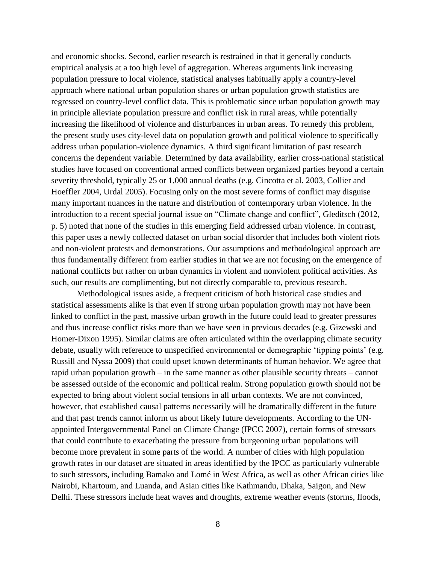and economic shocks. Second, earlier research is restrained in that it generally conducts empirical analysis at a too high level of aggregation. Whereas arguments link increasing population pressure to local violence, statistical analyses habitually apply a country-level approach where national urban population shares or urban population growth statistics are regressed on country-level conflict data. This is problematic since urban population growth may in principle alleviate population pressure and conflict risk in rural areas, while potentially increasing the likelihood of violence and disturbances in urban areas. To remedy this problem, the present study uses city-level data on population growth and political violence to specifically address urban population-violence dynamics. A third significant limitation of past research concerns the dependent variable. Determined by data availability, earlier cross-national statistical studies have focused on conventional armed conflicts between organized parties beyond a certain severity threshold, typically 25 or 1,000 annual deaths (e.g. Cincotta et al. 2003, Collier and Hoeffler 2004, Urdal 2005). Focusing only on the most severe forms of conflict may disguise many important nuances in the nature and distribution of contemporary urban violence. In the introduction to a recent special journal issue on "Climate change and conflict", Gleditsch (2012, p. 5) noted that none of the studies in this emerging field addressed urban violence. In contrast, this paper uses a newly collected dataset on urban social disorder that includes both violent riots and non-violent protests and demonstrations. Our assumptions and methodological approach are thus fundamentally different from earlier studies in that we are not focusing on the emergence of national conflicts but rather on urban dynamics in violent and nonviolent political activities. As such, our results are complimenting, but not directly comparable to, previous research.

Methodological issues aside, a frequent criticism of both historical case studies and statistical assessments alike is that even if strong urban population growth may not have been linked to conflict in the past, massive urban growth in the future could lead to greater pressures and thus increase conflict risks more than we have seen in previous decades (e.g. Gizewski and Homer-Dixon 1995). Similar claims are often articulated within the overlapping climate security debate, usually with reference to unspecified environmental or demographic 'tipping points' (e.g. Russill and Nyssa 2009) that could upset known determinants of human behavior. We agree that rapid urban population growth – in the same manner as other plausible security threats – cannot be assessed outside of the economic and political realm. Strong population growth should not be expected to bring about violent social tensions in all urban contexts. We are not convinced, however, that established causal patterns necessarily will be dramatically different in the future and that past trends cannot inform us about likely future developments. According to the UNappointed Intergovernmental Panel on Climate Change (IPCC 2007), certain forms of stressors that could contribute to exacerbating the pressure from burgeoning urban populations will become more prevalent in some parts of the world. A number of cities with high population growth rates in our dataset are situated in areas identified by the IPCC as particularly vulnerable to such stressors, including Bamako and Lomé in West Africa, as well as other African cities like Nairobi, Khartoum, and Luanda, and Asian cities like Kathmandu, Dhaka, Saigon, and New Delhi. These stressors include heat waves and droughts, extreme weather events (storms, floods,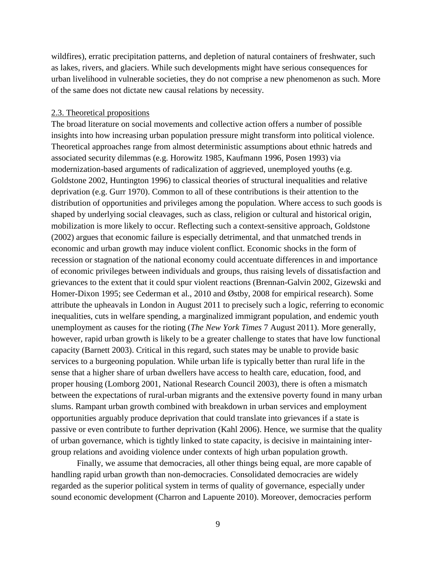wildfires), erratic precipitation patterns, and depletion of natural containers of freshwater, such as lakes, rivers, and glaciers. While such developments might have serious consequences for urban livelihood in vulnerable societies, they do not comprise a new phenomenon as such. More of the same does not dictate new causal relations by necessity.

#### 2.3. Theoretical propositions

The broad literature on social movements and collective action offers a number of possible insights into how increasing urban population pressure might transform into political violence. Theoretical approaches range from almost deterministic assumptions about ethnic hatreds and associated security dilemmas (e.g. Horowitz 1985, Kaufmann 1996, Posen 1993) via modernization-based arguments of radicalization of aggrieved, unemployed youths (e.g. Goldstone 2002, Huntington 1996) to classical theories of structural inequalities and relative deprivation (e.g. Gurr 1970). Common to all of these contributions is their attention to the distribution of opportunities and privileges among the population. Where access to such goods is shaped by underlying social cleavages, such as class, religion or cultural and historical origin, mobilization is more likely to occur. Reflecting such a context-sensitive approach, Goldstone (2002) argues that economic failure is especially detrimental, and that unmatched trends in economic and urban growth may induce violent conflict. Economic shocks in the form of recession or stagnation of the national economy could accentuate differences in and importance of economic privileges between individuals and groups, thus raising levels of dissatisfaction and grievances to the extent that it could spur violent reactions (Brennan-Galvin 2002, Gizewski and Homer-Dixon 1995; see Cederman et al., 2010 and Østby, 2008 for empirical research). Some attribute the upheavals in London in August 2011 to precisely such a logic, referring to economic inequalities, cuts in welfare spending, a marginalized immigrant population, and endemic youth unemployment as causes for the rioting (*The New York Times* 7 August 2011). More generally, however, rapid urban growth is likely to be a greater challenge to states that have low functional capacity (Barnett 2003). Critical in this regard, such states may be unable to provide basic services to a burgeoning population. While urban life is typically better than rural life in the sense that a higher share of urban dwellers have access to health care, education, food, and proper housing (Lomborg 2001, National Research Council 2003), there is often a mismatch between the expectations of rural-urban migrants and the extensive poverty found in many urban slums. Rampant urban growth combined with breakdown in urban services and employment opportunities arguably produce deprivation that could translate into grievances if a state is passive or even contribute to further deprivation (Kahl 2006). Hence, we surmise that the quality of urban governance, which is tightly linked to state capacity, is decisive in maintaining intergroup relations and avoiding violence under contexts of high urban population growth.

Finally, we assume that democracies, all other things being equal, are more capable of handling rapid urban growth than non-democracies. Consolidated democracies are widely regarded as the superior political system in terms of quality of governance, especially under sound economic development (Charron and Lapuente 2010). Moreover, democracies perform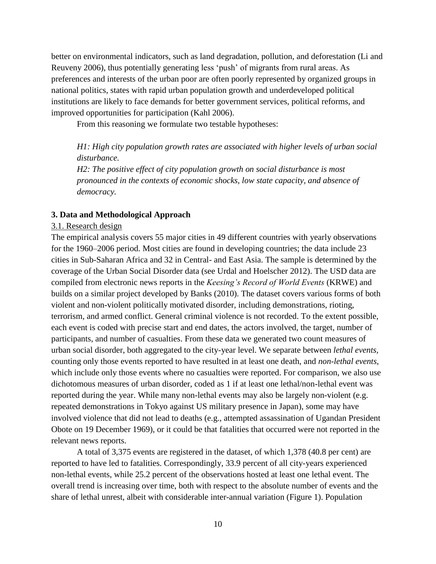better on environmental indicators, such as land degradation, pollution, and deforestation (Li and Reuveny 2006), thus potentially generating less 'push' of migrants from rural areas. As preferences and interests of the urban poor are often poorly represented by organized groups in national politics, states with rapid urban population growth and underdeveloped political institutions are likely to face demands for better government services, political reforms, and improved opportunities for participation (Kahl 2006).

From this reasoning we formulate two testable hypotheses:

## *H1: High city population growth rates are associated with higher levels of urban social disturbance.*

*H2: The positive effect of city population growth on social disturbance is most pronounced in the contexts of economic shocks, low state capacity, and absence of democracy.*

#### **3. Data and Methodological Approach**

#### 3.1. Research design

The empirical analysis covers 55 major cities in 49 different countries with yearly observations for the 1960–2006 period. Most cities are found in developing countries; the data include 23 cities in Sub-Saharan Africa and 32 in Central- and East Asia. The sample is determined by the coverage of the Urban Social Disorder data (see Urdal and Hoelscher 2012). The USD data are compiled from electronic news reports in the *Keesing's Record of World Events* (KRWE) and builds on a similar project developed by Banks (2010). The dataset covers various forms of both violent and non-violent politically motivated disorder, including demonstrations, rioting, terrorism, and armed conflict. General criminal violence is not recorded. To the extent possible, each event is coded with precise start and end dates, the actors involved, the target, number of participants, and number of casualties. From these data we generated two count measures of urban social disorder, both aggregated to the city-year level. We separate between *lethal events,* counting only those events reported to have resulted in at least one death, and *non-lethal events*, which include only those events where no casualties were reported. For comparison, we also use dichotomous measures of urban disorder, coded as 1 if at least one lethal/non-lethal event was reported during the year. While many non-lethal events may also be largely non-violent (e.g. repeated demonstrations in Tokyo against US military presence in Japan), some may have involved violence that did not lead to deaths (e.g., attempted assassination of Ugandan President Obote on 19 December 1969), or it could be that fatalities that occurred were not reported in the relevant news reports.

A total of 3,375 events are registered in the dataset, of which 1,378 (40.8 per cent) are reported to have led to fatalities. Correspondingly, 33.9 percent of all city-years experienced non-lethal events, while 25.2 percent of the observations hosted at least one lethal event. The overall trend is increasing over time, both with respect to the absolute number of events and the share of lethal unrest, albeit with considerable inter-annual variation (Figure 1). Population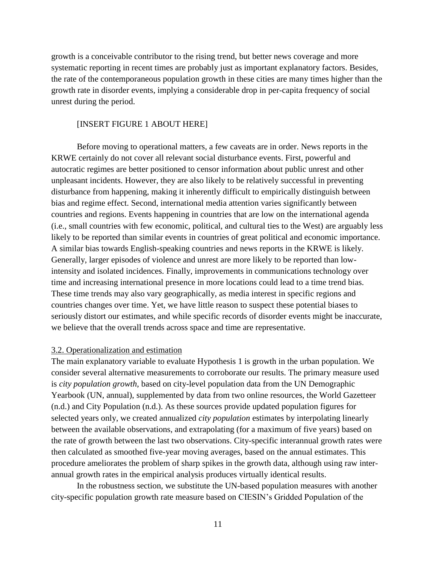growth is a conceivable contributor to the rising trend, but better news coverage and more systematic reporting in recent times are probably just as important explanatory factors. Besides, the rate of the contemporaneous population growth in these cities are many times higher than the growth rate in disorder events, implying a considerable drop in per-capita frequency of social unrest during the period.

#### [INSERT FIGURE 1 ABOUT HERE]

Before moving to operational matters, a few caveats are in order. News reports in the KRWE certainly do not cover all relevant social disturbance events. First, powerful and autocratic regimes are better positioned to censor information about public unrest and other unpleasant incidents. However, they are also likely to be relatively successful in preventing disturbance from happening, making it inherently difficult to empirically distinguish between bias and regime effect. Second, international media attention varies significantly between countries and regions. Events happening in countries that are low on the international agenda (i.e., small countries with few economic, political, and cultural ties to the West) are arguably less likely to be reported than similar events in countries of great political and economic importance. A similar bias towards English-speaking countries and news reports in the KRWE is likely. Generally, larger episodes of violence and unrest are more likely to be reported than lowintensity and isolated incidences. Finally, improvements in communications technology over time and increasing international presence in more locations could lead to a time trend bias. These time trends may also vary geographically, as media interest in specific regions and countries changes over time. Yet, we have little reason to suspect these potential biases to seriously distort our estimates, and while specific records of disorder events might be inaccurate, we believe that the overall trends across space and time are representative.

#### 3.2. Operationalization and estimation

The main explanatory variable to evaluate Hypothesis 1 is growth in the urban population. We consider several alternative measurements to corroborate our results. The primary measure used is *city population growth*, based on city-level population data from the UN Demographic Yearbook (UN, annual), supplemented by data from two online resources, the World Gazetteer (n.d.) and City Population (n.d.). As these sources provide updated population figures for selected years only, we created annualized *city population* estimates by interpolating linearly between the available observations, and extrapolating (for a maximum of five years) based on the rate of growth between the last two observations. City-specific interannual growth rates were then calculated as smoothed five-year moving averages, based on the annual estimates. This procedure ameliorates the problem of sharp spikes in the growth data, although using raw interannual growth rates in the empirical analysis produces virtually identical results.

In the robustness section, we substitute the UN-based population measures with another city-specific population growth rate measure based on CIESIN's Gridded Population of the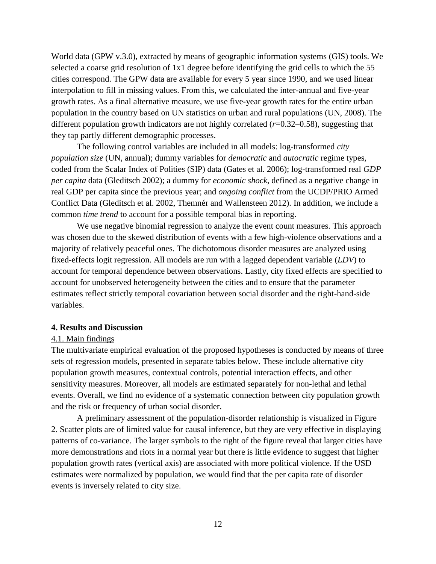World data (GPW v.3.0), extracted by means of geographic information systems (GIS) tools. We selected a coarse grid resolution of 1x1 degree before identifying the grid cells to which the 55 cities correspond. The GPW data are available for every 5 year since 1990, and we used linear interpolation to fill in missing values. From this, we calculated the inter-annual and five-year growth rates. As a final alternative measure, we use five-year growth rates for the entire urban population in the country based on UN statistics on urban and rural populations (UN, 2008). The different population growth indicators are not highly correlated (*r*=0.32–0.58), suggesting that they tap partly different demographic processes.

The following control variables are included in all models: log-transformed *city population size* (UN, annual); dummy variables for *democratic* and *autocratic* regime types, coded from the Scalar Index of Polities (SIP) data (Gates et al. 2006); log-transformed real *GDP per capita* data (Gleditsch 2002); a dummy for *economic shock*, defined as a negative change in real GDP per capita since the previous year; and *ongoing conflict* from the UCDP/PRIO Armed Conflict Data (Gleditsch et al. 2002, Themnér and Wallensteen 2012). In addition, we include a common *time trend* to account for a possible temporal bias in reporting.

We use negative binomial regression to analyze the event count measures. This approach was chosen due to the skewed distribution of events with a few high-violence observations and a majority of relatively peaceful ones. The dichotomous disorder measures are analyzed using fixed-effects logit regression. All models are run with a lagged dependent variable (*LDV*) to account for temporal dependence between observations. Lastly, city fixed effects are specified to account for unobserved heterogeneity between the cities and to ensure that the parameter estimates reflect strictly temporal covariation between social disorder and the right-hand-side variables.

#### **4. Results and Discussion**

#### 4.1. Main findings

The multivariate empirical evaluation of the proposed hypotheses is conducted by means of three sets of regression models, presented in separate tables below. These include alternative city population growth measures, contextual controls, potential interaction effects, and other sensitivity measures. Moreover, all models are estimated separately for non-lethal and lethal events. Overall, we find no evidence of a systematic connection between city population growth and the risk or frequency of urban social disorder.

A preliminary assessment of the population-disorder relationship is visualized in Figure 2. Scatter plots are of limited value for causal inference, but they are very effective in displaying patterns of co-variance. The larger symbols to the right of the figure reveal that larger cities have more demonstrations and riots in a normal year but there is little evidence to suggest that higher population growth rates (vertical axis) are associated with more political violence. If the USD estimates were normalized by population, we would find that the per capita rate of disorder events is inversely related to city size.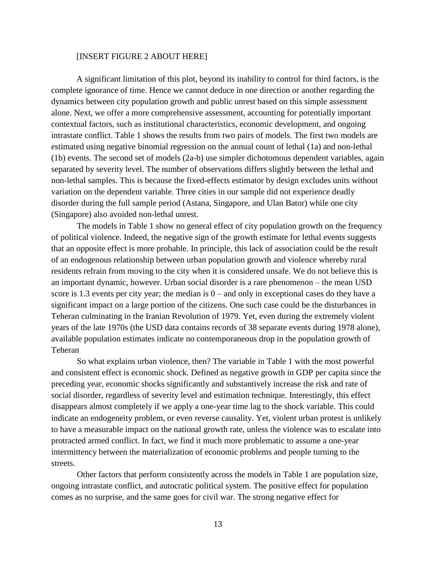#### [INSERT FIGURE 2 ABOUT HERE]

A significant limitation of this plot, beyond its inability to control for third factors, is the complete ignorance of time. Hence we cannot deduce in one direction or another regarding the dynamics between city population growth and public unrest based on this simple assessment alone. Next, we offer a more comprehensive assessment, accounting for potentially important contextual factors, such as institutional characteristics, economic development, and ongoing intrastate conflict. Table 1 shows the results from two pairs of models. The first two models are estimated using negative binomial regression on the annual count of lethal (1a) and non-lethal (1b) events. The second set of models (2a-b) use simpler dichotomous dependent variables, again separated by severity level. The number of observations differs slightly between the lethal and non-lethal samples. This is because the fixed-effects estimator by design excludes units without variation on the dependent variable. Three cities in our sample did not experience deadly disorder during the full sample period (Astana, Singapore, and Ulan Bator) while one city (Singapore) also avoided non-lethal unrest.

The models in Table 1 show no general effect of city population growth on the frequency of political violence. Indeed, the negative sign of the growth estimate for lethal events suggests that an opposite effect is more probable. In principle, this lack of association could be the result of an endogenous relationship between urban population growth and violence whereby rural residents refrain from moving to the city when it is considered unsafe. We do not believe this is an important dynamic, however. Urban social disorder is a rare phenomenon – the mean USD score is 1.3 events per city year; the median is  $0$  – and only in exceptional cases do they have a significant impact on a large portion of the citizens. One such case could be the disturbances in Teheran culminating in the Iranian Revolution of 1979. Yet, even during the extremely violent years of the late 1970s (the USD data contains records of 38 separate events during 1978 alone), available population estimates indicate no contemporaneous drop in the population growth of Teheran

So what explains urban violence, then? The variable in Table 1 with the most powerful and consistent effect is economic shock. Defined as negative growth in GDP per capita since the preceding year, economic shocks significantly and substantively increase the risk and rate of social disorder, regardless of severity level and estimation technique. Interestingly, this effect disappears almost completely if we apply a one-year time lag to the shock variable. This could indicate an endogeneity problem, or even reverse causality. Yet, violent urban protest is unlikely to have a measurable impact on the national growth rate, unless the violence was to escalate into protracted armed conflict. In fact, we find it much more problematic to assume a one-year intermittency between the materialization of economic problems and people turning to the streets.

Other factors that perform consistently across the models in Table 1 are population size, ongoing intrastate conflict, and autocratic political system. The positive effect for population comes as no surprise, and the same goes for civil war. The strong negative effect for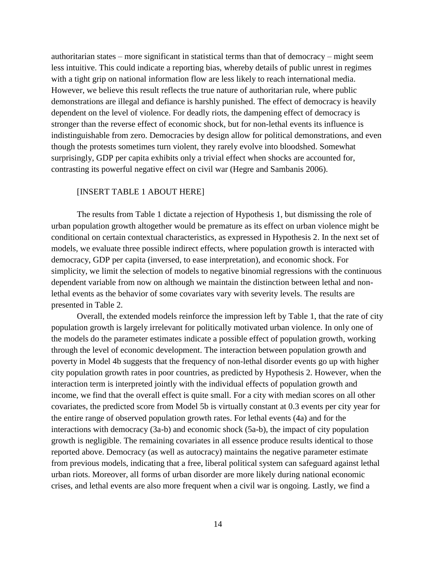authoritarian states – more significant in statistical terms than that of democracy – might seem less intuitive. This could indicate a reporting bias, whereby details of public unrest in regimes with a tight grip on national information flow are less likely to reach international media. However, we believe this result reflects the true nature of authoritarian rule, where public demonstrations are illegal and defiance is harshly punished. The effect of democracy is heavily dependent on the level of violence. For deadly riots, the dampening effect of democracy is stronger than the reverse effect of economic shock, but for non-lethal events its influence is indistinguishable from zero. Democracies by design allow for political demonstrations, and even though the protests sometimes turn violent, they rarely evolve into bloodshed. Somewhat surprisingly, GDP per capita exhibits only a trivial effect when shocks are accounted for, contrasting its powerful negative effect on civil war (Hegre and Sambanis 2006).

#### [INSERT TABLE 1 ABOUT HERE]

The results from Table 1 dictate a rejection of Hypothesis 1, but dismissing the role of urban population growth altogether would be premature as its effect on urban violence might be conditional on certain contextual characteristics, as expressed in Hypothesis 2. In the next set of models, we evaluate three possible indirect effects, where population growth is interacted with democracy, GDP per capita (inversed, to ease interpretation), and economic shock. For simplicity, we limit the selection of models to negative binomial regressions with the continuous dependent variable from now on although we maintain the distinction between lethal and nonlethal events as the behavior of some covariates vary with severity levels. The results are presented in Table 2.

Overall, the extended models reinforce the impression left by Table 1, that the rate of city population growth is largely irrelevant for politically motivated urban violence. In only one of the models do the parameter estimates indicate a possible effect of population growth, working through the level of economic development. The interaction between population growth and poverty in Model 4b suggests that the frequency of non-lethal disorder events go up with higher city population growth rates in poor countries, as predicted by Hypothesis 2. However, when the interaction term is interpreted jointly with the individual effects of population growth and income, we find that the overall effect is quite small. For a city with median scores on all other covariates, the predicted score from Model 5b is virtually constant at 0.3 events per city year for the entire range of observed population growth rates. For lethal events (4a) and for the interactions with democracy (3a-b) and economic shock (5a-b), the impact of city population growth is negligible. The remaining covariates in all essence produce results identical to those reported above. Democracy (as well as autocracy) maintains the negative parameter estimate from previous models, indicating that a free, liberal political system can safeguard against lethal urban riots. Moreover, all forms of urban disorder are more likely during national economic crises, and lethal events are also more frequent when a civil war is ongoing. Lastly, we find a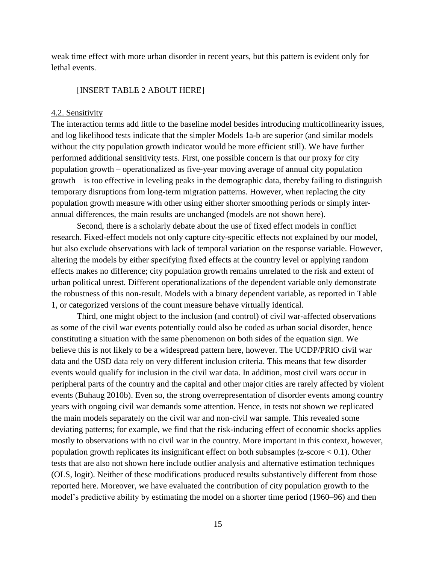weak time effect with more urban disorder in recent years, but this pattern is evident only for lethal events.

#### [INSERT TABLE 2 ABOUT HERE]

#### 4.2. Sensitivity

The interaction terms add little to the baseline model besides introducing multicollinearity issues, and log likelihood tests indicate that the simpler Models 1a-b are superior (and similar models without the city population growth indicator would be more efficient still). We have further performed additional sensitivity tests. First, one possible concern is that our proxy for city population growth – operationalized as five-year moving average of annual city population growth – is too effective in leveling peaks in the demographic data, thereby failing to distinguish temporary disruptions from long-term migration patterns. However, when replacing the city population growth measure with other using either shorter smoothing periods or simply interannual differences, the main results are unchanged (models are not shown here).

Second, there is a scholarly debate about the use of fixed effect models in conflict research. Fixed-effect models not only capture city-specific effects not explained by our model, but also exclude observations with lack of temporal variation on the response variable. However, altering the models by either specifying fixed effects at the country level or applying random effects makes no difference; city population growth remains unrelated to the risk and extent of urban political unrest. Different operationalizations of the dependent variable only demonstrate the robustness of this non-result. Models with a binary dependent variable, as reported in Table 1, or categorized versions of the count measure behave virtually identical.

Third, one might object to the inclusion (and control) of civil war-affected observations as some of the civil war events potentially could also be coded as urban social disorder, hence constituting a situation with the same phenomenon on both sides of the equation sign. We believe this is not likely to be a widespread pattern here, however. The UCDP/PRIO civil war data and the USD data rely on very different inclusion criteria. This means that few disorder events would qualify for inclusion in the civil war data. In addition, most civil wars occur in peripheral parts of the country and the capital and other major cities are rarely affected by violent events (Buhaug 2010b). Even so, the strong overrepresentation of disorder events among country years with ongoing civil war demands some attention. Hence, in tests not shown we replicated the main models separately on the civil war and non-civil war sample. This revealed some deviating patterns; for example, we find that the risk-inducing effect of economic shocks applies mostly to observations with no civil war in the country. More important in this context, however, population growth replicates its insignificant effect on both subsamples ( $z$ -score  $< 0.1$ ). Other tests that are also not shown here include outlier analysis and alternative estimation techniques (OLS, logit). Neither of these modifications produced results substantively different from those reported here. Moreover, we have evaluated the contribution of city population growth to the model's predictive ability by estimating the model on a shorter time period (1960–96) and then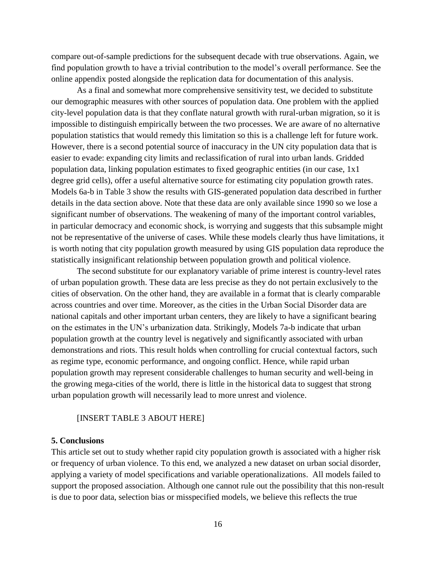compare out-of-sample predictions for the subsequent decade with true observations. Again, we find population growth to have a trivial contribution to the model's overall performance. See the online appendix posted alongside the replication data for documentation of this analysis.

As a final and somewhat more comprehensive sensitivity test, we decided to substitute our demographic measures with other sources of population data. One problem with the applied city-level population data is that they conflate natural growth with rural-urban migration, so it is impossible to distinguish empirically between the two processes. We are aware of no alternative population statistics that would remedy this limitation so this is a challenge left for future work. However, there is a second potential source of inaccuracy in the UN city population data that is easier to evade: expanding city limits and reclassification of rural into urban lands. Gridded population data, linking population estimates to fixed geographic entities (in our case, 1x1 degree grid cells), offer a useful alternative source for estimating city population growth rates. Models 6a-b in Table 3 show the results with GIS-generated population data described in further details in the data section above. Note that these data are only available since 1990 so we lose a significant number of observations. The weakening of many of the important control variables, in particular democracy and economic shock, is worrying and suggests that this subsample might not be representative of the universe of cases. While these models clearly thus have limitations, it is worth noting that city population growth measured by using GIS population data reproduce the statistically insignificant relationship between population growth and political violence.

The second substitute for our explanatory variable of prime interest is country-level rates of urban population growth. These data are less precise as they do not pertain exclusively to the cities of observation. On the other hand, they are available in a format that is clearly comparable across countries and over time. Moreover, as the cities in the Urban Social Disorder data are national capitals and other important urban centers, they are likely to have a significant bearing on the estimates in the UN's urbanization data. Strikingly, Models 7a-b indicate that urban population growth at the country level is negatively and significantly associated with urban demonstrations and riots. This result holds when controlling for crucial contextual factors, such as regime type, economic performance, and ongoing conflict. Hence, while rapid urban population growth may represent considerable challenges to human security and well-being in the growing mega-cities of the world, there is little in the historical data to suggest that strong urban population growth will necessarily lead to more unrest and violence.

#### [INSERT TABLE 3 ABOUT HERE]

## **5. Conclusions**

This article set out to study whether rapid city population growth is associated with a higher risk or frequency of urban violence. To this end, we analyzed a new dataset on urban social disorder, applying a variety of model specifications and variable operationalizations. All models failed to support the proposed association. Although one cannot rule out the possibility that this non-result is due to poor data, selection bias or misspecified models, we believe this reflects the true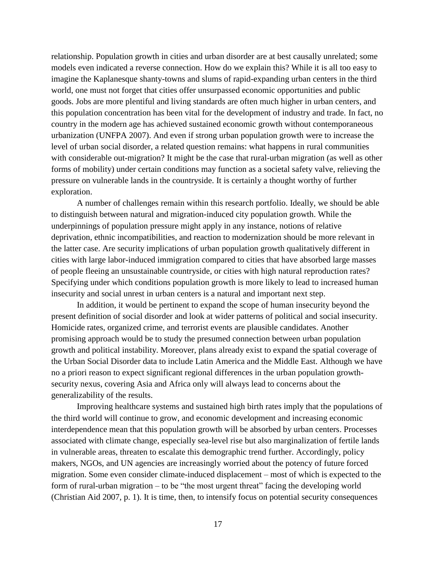relationship. Population growth in cities and urban disorder are at best causally unrelated; some models even indicated a reverse connection. How do we explain this? While it is all too easy to imagine the Kaplanesque shanty-towns and slums of rapid-expanding urban centers in the third world, one must not forget that cities offer unsurpassed economic opportunities and public goods. Jobs are more plentiful and living standards are often much higher in urban centers, and this population concentration has been vital for the development of industry and trade. In fact, no country in the modern age has achieved sustained economic growth without contemporaneous urbanization (UNFPA 2007). And even if strong urban population growth were to increase the level of urban social disorder, a related question remains: what happens in rural communities with considerable out-migration? It might be the case that rural-urban migration (as well as other forms of mobility) under certain conditions may function as a societal safety valve, relieving the pressure on vulnerable lands in the countryside. It is certainly a thought worthy of further exploration.

A number of challenges remain within this research portfolio. Ideally, we should be able to distinguish between natural and migration-induced city population growth. While the underpinnings of population pressure might apply in any instance, notions of relative deprivation, ethnic incompatibilities, and reaction to modernization should be more relevant in the latter case. Are security implications of urban population growth qualitatively different in cities with large labor-induced immigration compared to cities that have absorbed large masses of people fleeing an unsustainable countryside, or cities with high natural reproduction rates? Specifying under which conditions population growth is more likely to lead to increased human insecurity and social unrest in urban centers is a natural and important next step.

In addition, it would be pertinent to expand the scope of human insecurity beyond the present definition of social disorder and look at wider patterns of political and social insecurity. Homicide rates, organized crime, and terrorist events are plausible candidates. Another promising approach would be to study the presumed connection between urban population growth and political instability. Moreover, plans already exist to expand the spatial coverage of the Urban Social Disorder data to include Latin America and the Middle East. Although we have no a priori reason to expect significant regional differences in the urban population growthsecurity nexus, covering Asia and Africa only will always lead to concerns about the generalizability of the results.

Improving healthcare systems and sustained high birth rates imply that the populations of the third world will continue to grow, and economic development and increasing economic interdependence mean that this population growth will be absorbed by urban centers. Processes associated with climate change, especially sea-level rise but also marginalization of fertile lands in vulnerable areas, threaten to escalate this demographic trend further. Accordingly, policy makers, NGOs, and UN agencies are increasingly worried about the potency of future forced migration. Some even consider climate-induced displacement – most of which is expected to the form of rural-urban migration – to be "the most urgent threat" facing the developing world (Christian Aid 2007, p. 1). It is time, then, to intensify focus on potential security consequences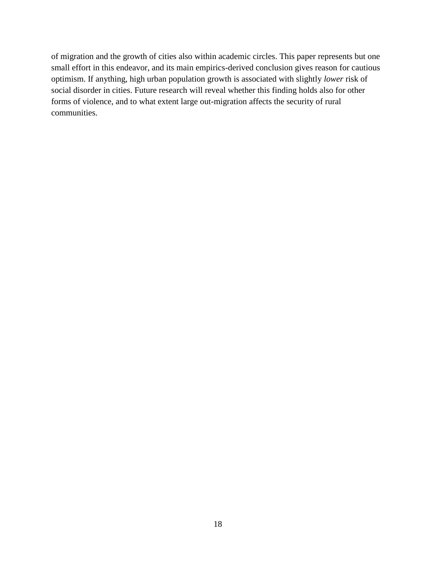of migration and the growth of cities also within academic circles. This paper represents but one small effort in this endeavor, and its main empirics-derived conclusion gives reason for cautious optimism. If anything, high urban population growth is associated with slightly *lower* risk of social disorder in cities. Future research will reveal whether this finding holds also for other forms of violence, and to what extent large out-migration affects the security of rural communities.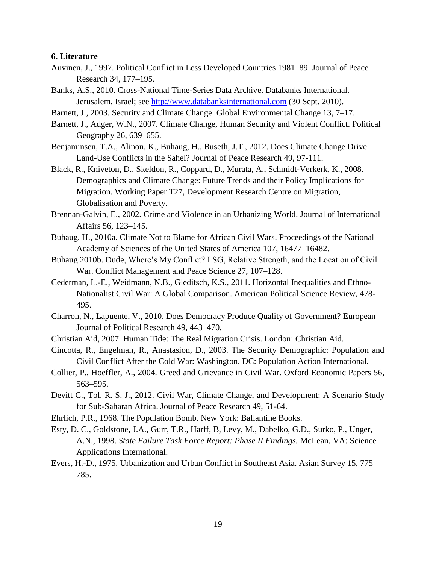#### **6. Literature**

- Auvinen, J., 1997. Political Conflict in Less Developed Countries 1981–89. Journal of Peace Research 34, 177–195.
- Banks, A.S., 2010. Cross-National Time-Series Data Archive. Databanks International. Jerusalem, Israel; see [http://www.databanksinternational.com](http://www.databanksinternational.com/) (30 Sept. 2010).
- Barnett, J., 2003. Security and Climate Change. Global Environmental Change 13, 7–17.
- Barnett, J., Adger, W.N., 2007. Climate Change, Human Security and Violent Conflict. Political Geography 26, 639–655.
- Benjaminsen, T.A., Alinon, K., Buhaug, H., Buseth, J.T., 2012. Does Climate Change Drive Land-Use Conflicts in the Sahel? Journal of Peace Research 49, 97-111.
- Black, R., Kniveton, D., Skeldon, R., Coppard, D., Murata, A., Schmidt-Verkerk, K., 2008. Demographics and Climate Change: Future Trends and their Policy Implications for Migration. Working Paper T27, Development Research Centre on Migration, Globalisation and Poverty.
- Brennan-Galvin, E., 2002. Crime and Violence in an Urbanizing World. Journal of International Affairs 56, 123–145.
- Buhaug, H., 2010a. Climate Not to Blame for African Civil Wars. Proceedings of the National Academy of Sciences of the United States of America 107, 16477–16482.
- Buhaug 2010b. Dude, Where's My Conflict? LSG, Relative Strength, and the Location of Civil War. Conflict Management and Peace Science 27, 107–128.
- Cederman, L.-E., Weidmann, N.B., Gleditsch, K.S., 2011. Horizontal Inequalities and Ethno-Nationalist Civil War: A Global Comparison. American Political Science Review, 478- 495.
- Charron, N., Lapuente, V., 2010. Does Democracy Produce Quality of Government? European Journal of Political Research 49, 443–470.
- Christian Aid, 2007. Human Tide: The Real Migration Crisis. London: Christian Aid.
- Cincotta, R., Engelman, R., Anastasion, D., 2003. The Security Demographic: Population and Civil Conflict After the Cold War: Washington, DC: Population Action International.
- Collier, P., Hoeffler, A., 2004. Greed and Grievance in Civil War. Oxford Economic Papers 56, 563–595.
- Devitt C., Tol, R. S. J., 2012. Civil War, Climate Change, and Development: A Scenario Study for Sub-Saharan Africa. Journal of Peace Research 49, 51-64.
- Ehrlich, P.R., 1968. The Population Bomb. New York: Ballantine Books.
- Esty, D. C., Goldstone, J.A., Gurr, T.R., Harff, B, Levy, M., Dabelko, G.D., Surko, P., Unger, A.N., 1998. *State Failure Task Force Report: Phase II Findings.* McLean, VA: Science Applications International.
- Evers, H.-D., 1975. Urbanization and Urban Conflict in Southeast Asia. Asian Survey 15, 775– 785.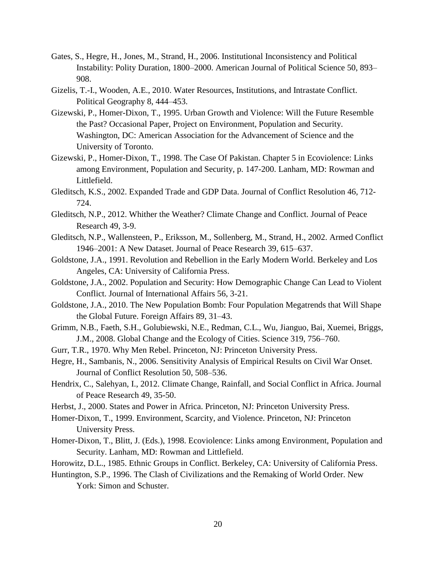- Gates, S., Hegre, H., Jones, M., Strand, H., 2006. Institutional Inconsistency and Political Instability: Polity Duration, 1800–2000. American Journal of Political Science 50, 893– 908.
- Gizelis, T.-I., Wooden, A.E., 2010. Water Resources, Institutions, and Intrastate Conflict. Political Geography 8, 444–453.
- Gizewski, P., Homer-Dixon, T., 1995. Urban Growth and Violence: Will the Future Resemble the Past? Occasional Paper, Project on Environment, Population and Security. Washington, DC: American Association for the Advancement of Science and the University of Toronto.
- Gizewski, P., Homer-Dixon, T., 1998. The Case Of Pakistan. Chapter 5 in Ecoviolence: Links among Environment, Population and Security, p. 147-200. Lanham, MD: Rowman and Littlefield.
- Gleditsch, K.S., 2002. Expanded Trade and GDP Data. Journal of Conflict Resolution 46, 712- 724.
- Gleditsch, N.P., 2012. Whither the Weather? Climate Change and Conflict. Journal of Peace Research 49, 3-9.
- Gleditsch, N.P., Wallensteen, P., Eriksson, M., Sollenberg, M., Strand, H., 2002. Armed Conflict 1946–2001: A New Dataset. Journal of Peace Research 39, 615–637.
- Goldstone, J.A., 1991. Revolution and Rebellion in the Early Modern World. Berkeley and Los Angeles, CA: University of California Press.
- Goldstone, J.A., 2002. Population and Security: How Demographic Change Can Lead to Violent Conflict. Journal of International Affairs 56, 3-21.
- Goldstone, J.A., 2010. The New Population Bomb: Four Population Megatrends that Will Shape the Global Future. Foreign Affairs 89, 31–43.
- Grimm, N.B., Faeth, S.H., Golubiewski, N.E., Redman, C.L., Wu, Jianguo, Bai, Xuemei, Briggs, J.M., 2008. Global Change and the Ecology of Cities. Science 319, 756–760.
- Gurr, T.R., 1970. Why Men Rebel. Princeton, NJ: Princeton University Press.
- Hegre, H., Sambanis, N., 2006. Sensitivity Analysis of Empirical Results on Civil War Onset. Journal of Conflict Resolution 50, 508–536.
- Hendrix, C., Salehyan, I., 2012. Climate Change, Rainfall, and Social Conflict in Africa. Journal of Peace Research 49, 35-50.
- Herbst, J., 2000. States and Power in Africa. Princeton, NJ: Princeton University Press.
- Homer-Dixon, T., 1999. Environment, Scarcity, and Violence. Princeton, NJ: Princeton University Press.
- Homer-Dixon, T., Blitt, J. (Eds.), 1998. Ecoviolence: Links among Environment, Population and Security. Lanham, MD: Rowman and Littlefield.
- Horowitz, D.L., 1985. Ethnic Groups in Conflict. Berkeley, CA: University of California Press.
- Huntington, S.P., 1996. The Clash of Civilizations and the Remaking of World Order. New York: Simon and Schuster.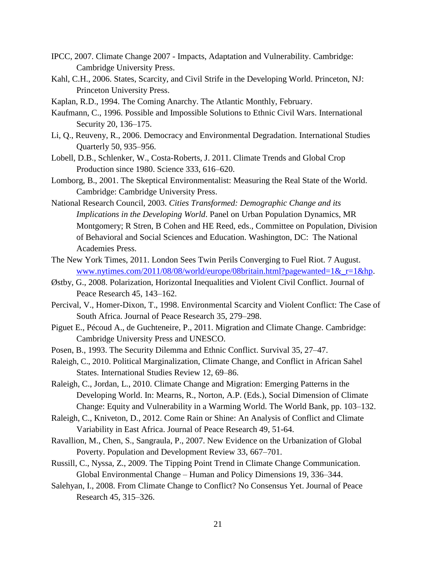- IPCC, 2007. Climate Change 2007 Impacts, Adaptation and Vulnerability. Cambridge: Cambridge University Press.
- Kahl, C.H., 2006. States, Scarcity, and Civil Strife in the Developing World. Princeton, NJ: Princeton University Press.
- Kaplan, R.D., 1994. The Coming Anarchy. The Atlantic Monthly, February.
- Kaufmann, C., 1996. Possible and Impossible Solutions to Ethnic Civil Wars. International Security 20, 136–175.
- Li, Q., Reuveny, R., 2006. Democracy and Environmental Degradation. International Studies Quarterly 50, 935–956.
- Lobell, D.B., Schlenker, W., Costa-Roberts, J. 2011. Climate Trends and Global Crop Production since 1980. Science 333, 616–620.
- Lomborg, B., 2001. The Skeptical Environmentalist: Measuring the Real State of the World. Cambridge: Cambridge University Press.
- National Research Council, 2003. *Cities Transformed: Demographic Change and its Implications in the Developing World*. Panel on Urban Population Dynamics, MR Montgomery; R Stren, B Cohen and HE Reed, eds., Committee on Population, Division of Behavioral and Social Sciences and Education. Washington, DC: The National Academies Press.
- The New York Times, 2011. London Sees Twin Perils Converging to Fuel Riot. 7 August. [www.nytimes.com/2011/08/08/world/europe/08britain.html?pagewanted=1&\\_r=1&hp.](http://www.nytimes.com/2011/08/08/world/europe/08britain.html?pagewanted=1&_r=1&hp)
- Østby, G., 2008. Polarization, Horizontal Inequalities and Violent Civil Conflict. Journal of Peace Research 45, 143–162.
- Percival, V., Homer-Dixon, T., 1998. Environmental Scarcity and Violent Conflict: The Case of South Africa. Journal of Peace Research 35, 279–298.
- Piguet E., Pécoud A., de Guchteneire, P., 2011. Migration and Climate Change. Cambridge: Cambridge University Press and UNESCO.
- Posen, B., 1993. The Security Dilemma and Ethnic Conflict. Survival 35, 27–47.
- Raleigh, C., 2010. Political Marginalization, Climate Change, and Conflict in African Sahel States. International Studies Review 12, 69–86.
- Raleigh, C., Jordan, L., 2010. Climate Change and Migration: Emerging Patterns in the Developing World. In: Mearns, R., Norton, A.P. (Eds.), Social Dimension of Climate Change: Equity and Vulnerability in a Warming World. The World Bank, pp. 103–132.
- Raleigh, C., Kniveton, D., 2012. Come Rain or Shine: An Analysis of Conflict and Climate Variability in East Africa. Journal of Peace Research 49, 51-64.
- Ravallion, M., Chen, S., Sangraula, P., 2007. New Evidence on the Urbanization of Global Poverty. Population and Development Review 33, 667–701.
- Russill, C., Nyssa, Z., 2009. The Tipping Point Trend in Climate Change Communication. Global Environmental Change – Human and Policy Dimensions 19, 336–344.
- Salehyan, I., 2008. From Climate Change to Conflict? No Consensus Yet. Journal of Peace Research 45, 315–326.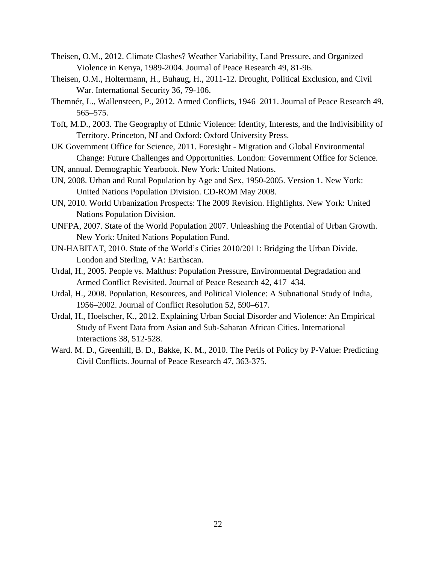- Theisen, O.M., 2012. Climate Clashes? Weather Variability, Land Pressure, and Organized Violence in Kenya, 1989-2004. Journal of Peace Research 49, 81-96.
- Theisen, O.M., Holtermann, H., Buhaug, H., 2011-12. Drought, Political Exclusion, and Civil War. International Security 36, 79-106.
- Themnér, L., Wallensteen, P., 2012. Armed Conflicts, 1946–2011. Journal of Peace Research 49, 565–575.
- Toft, M.D., 2003. The Geography of Ethnic Violence: Identity, Interests, and the Indivisibility of Territory. Princeton, NJ and Oxford: Oxford University Press.
- UK Government Office for Science, 2011. Foresight Migration and Global Environmental Change: Future Challenges and Opportunities. London: Government Office for Science.
- UN, annual. Demographic Yearbook. New York: United Nations.
- UN, 2008. Urban and Rural Population by Age and Sex, 1950-2005. Version 1. New York: United Nations Population Division. CD-ROM May 2008.
- UN, 2010. World Urbanization Prospects: The 2009 Revision. Highlights. New York: United Nations Population Division.
- UNFPA, 2007. State of the World Population 2007. Unleashing the Potential of Urban Growth. New York: United Nations Population Fund.
- UN-HABITAT, 2010. State of the World's Cities 2010/2011: Bridging the Urban Divide. London and Sterling, VA: Earthscan.
- Urdal, H., 2005. People vs. Malthus: Population Pressure, Environmental Degradation and Armed Conflict Revisited. Journal of Peace Research 42, 417–434.
- Urdal, H., 2008. Population, Resources, and Political Violence: A Subnational Study of India, 1956–2002. Journal of Conflict Resolution 52, 590–617.
- Urdal, H., Hoelscher, K., 2012. Explaining Urban Social Disorder and Violence: An Empirical Study of Event Data from Asian and Sub-Saharan African Cities. International Interactions 38, 512-528.
- Ward. M. D., Greenhill, B. D., Bakke, K. M., 2010. The Perils of Policy by P-Value: Predicting Civil Conflicts. Journal of Peace Research 47, 363-375.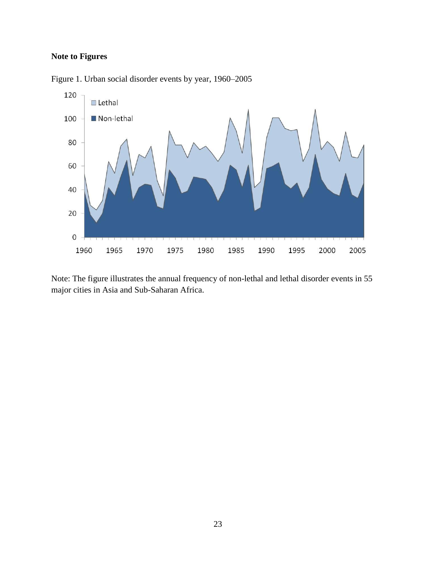## **Note to Figures**



Figure 1. Urban social disorder events by year, 1960–2005

Note: The figure illustrates the annual frequency of non-lethal and lethal disorder events in 55 major cities in Asia and Sub-Saharan Africa.